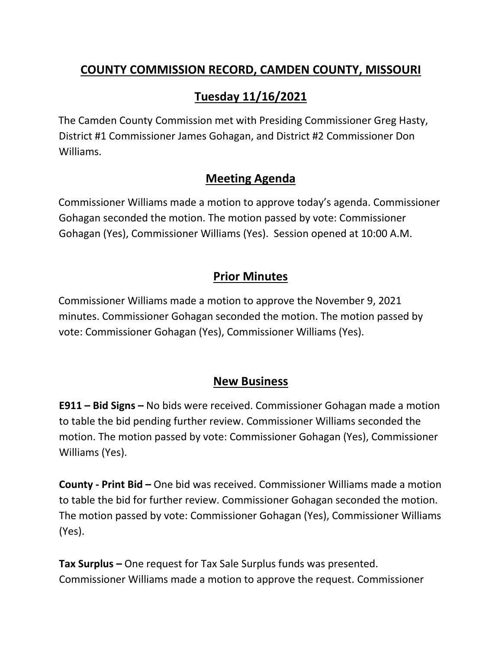### **COUNTY COMMISSION RECORD, CAMDEN COUNTY, MISSOURI**

# **Tuesday 11/16/2021**

The Camden County Commission met with Presiding Commissioner Greg Hasty, District #1 Commissioner James Gohagan, and District #2 Commissioner Don Williams.

### **Meeting Agenda**

Commissioner Williams made a motion to approve today's agenda. Commissioner Gohagan seconded the motion. The motion passed by vote: Commissioner Gohagan (Yes), Commissioner Williams (Yes). Session opened at 10:00 A.M.

## **Prior Minutes**

Commissioner Williams made a motion to approve the November 9, 2021 minutes. Commissioner Gohagan seconded the motion. The motion passed by vote: Commissioner Gohagan (Yes), Commissioner Williams (Yes).

#### **New Business**

**E911 – Bid Signs –** No bids were received. Commissioner Gohagan made a motion to table the bid pending further review. Commissioner Williams seconded the motion. The motion passed by vote: Commissioner Gohagan (Yes), Commissioner Williams (Yes).

**County - Print Bid –** One bid was received. Commissioner Williams made a motion to table the bid for further review. Commissioner Gohagan seconded the motion. The motion passed by vote: Commissioner Gohagan (Yes), Commissioner Williams (Yes).

**Tax Surplus –** One request for Tax Sale Surplus funds was presented. Commissioner Williams made a motion to approve the request. Commissioner